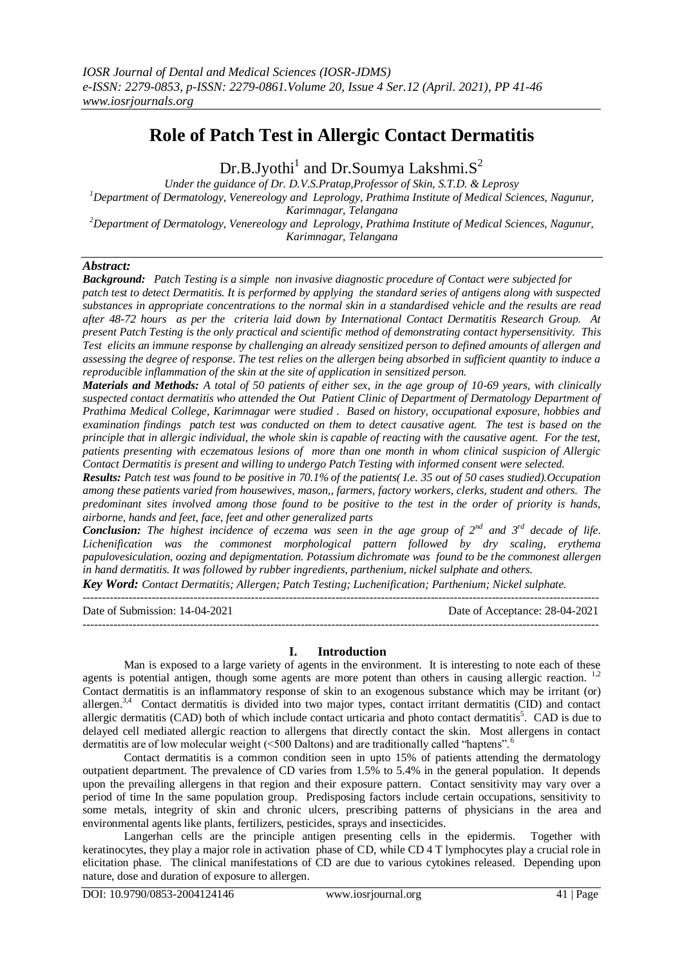# **Role of Patch Test in Allergic Contact Dermatitis**

Dr.B.Jyothi $^1$  and Dr.Soumya Lakshmi.S<sup>2</sup>

*Under the guidance of Dr. D.V.S.Pratap,Professor of Skin, S.T.D. & Leprosy <sup>1</sup>Department of Dermatology, Venereology and Leprology, Prathima Institute of Medical Sciences, Nagunur, Karimnagar, Telangana <sup>2</sup>Department of Dermatology, Venereology and Leprology, Prathima Institute of Medical Sciences, Nagunur,* 

*Karimnagar, Telangana*

*Abstract:*

*Background: Patch Testing is a simple non invasive diagnostic procedure of Contact were subjected for patch test to detect Dermatitis. It is performed by applying the standard series of antigens along with suspected substances in appropriate concentrations to the normal skin in a standardised vehicle and the results are read after 48-72 hours as per the criteria laid down by International Contact Dermatitis Research Group. At present Patch Testing is the only practical and scientific method of demonstrating contact hypersensitivity. This Test elicits an immune response by challenging an already sensitized person to defined amounts of allergen and assessing the degree of response. The test relies on the allergen being absorbed in sufficient quantity to induce a reproducible inflammation of the skin at the site of application in sensitized person.* 

*Materials and Methods: A total of 50 patients of either sex, in the age group of 10-69 years, with clinically suspected contact dermatitis who attended the Out Patient Clinic of Department of Dermatology Department of Prathima Medical College, Karimnagar were studied . Based on history, occupational exposure, hobbies and examination findings patch test was conducted on them to detect causative agent. The test is based on the principle that in allergic individual, the whole skin is capable of reacting with the causative agent. For the test, patients presenting with eczematous lesions of more than one month in whom clinical suspicion of Allergic Contact Dermatitis is present and willing to undergo Patch Testing with informed consent were selected.* 

*Results: Patch test was found to be positive in 70.1% of the patients( I.e. 35 out of 50 cases studied).Occupation among these patients varied from housewives, mason,, farmers, factory workers, clerks, student and others. The predominant sites involved among those found to be positive to the test in the order of priority is hands, airborne, hands and feet, face, feet and other generalized parts*

*Conclusion: The highest incidence of eczema was seen in the age group of 2nd and 3rd decade of life. Lichenification was the commonest morphological pattern followed by dry scaling, erythema papulovesiculation, oozing and depigmentation. Potassium dichromate was found to be the commonest allergen in hand dermatitis. It was followed by rubber ingredients, parthenium, nickel sulphate and others.*

*Key Word: Contact Dermatitis; Allergen; Patch Testing; Luchenification; Parthenium; Nickel sulphate.* ---------------------------------------------------------------------------------------------------------------------------------------

Date of Submission: 14-04-2021 Date of Acceptance: 28-04-2021 ---------------------------------------------------------------------------------------------------------------------------------------

# **I. Introduction**

Man is exposed to a large variety of agents in the environment. It is interesting to note each of these agents is potential antigen, though some agents are more potent than others in causing allergic reaction.<sup>1,2</sup> Contact dermatitis is an inflammatory response of skin to an exogenous substance which may be irritant (or) allergen.<sup>3,4</sup> Contact dermatitis is divided into two major types, contact irritant dermatitis (CID) and contact allergic dermatitis (CAD) both of which include contact urticaria and photo contact dermatitis<sup>5</sup>. CAD is due to delayed cell mediated allergic reaction to allergens that directly contact the skin. Most allergens in contact dermatitis are of low molecular weight (<500 Daltons) and are traditionally called "haptens".<sup>6</sup>

Contact dermatitis is a common condition seen in upto 15% of patients attending the dermatology outpatient department. The prevalence of CD varies from 1.5% to 5.4% in the general population. It depends upon the prevailing allergens in that region and their exposure pattern. Contact sensitivity may vary over a period of time In the same population group. Predisposing factors include certain occupations, sensitivity to some metals, integrity of skin and chronic ulcers, prescribing patterns of physicians in the area and environmental agents like plants, fertilizers, pesticides, sprays and insecticides.

Langerhan cells are the principle antigen presenting cells in the epidermis. Together with keratinocytes, they play a major role in activation phase of CD, while CD 4 T lymphocytes play a crucial role in elicitation phase. The clinical manifestations of CD are due to various cytokines released. Depending upon nature, dose and duration of exposure to allergen.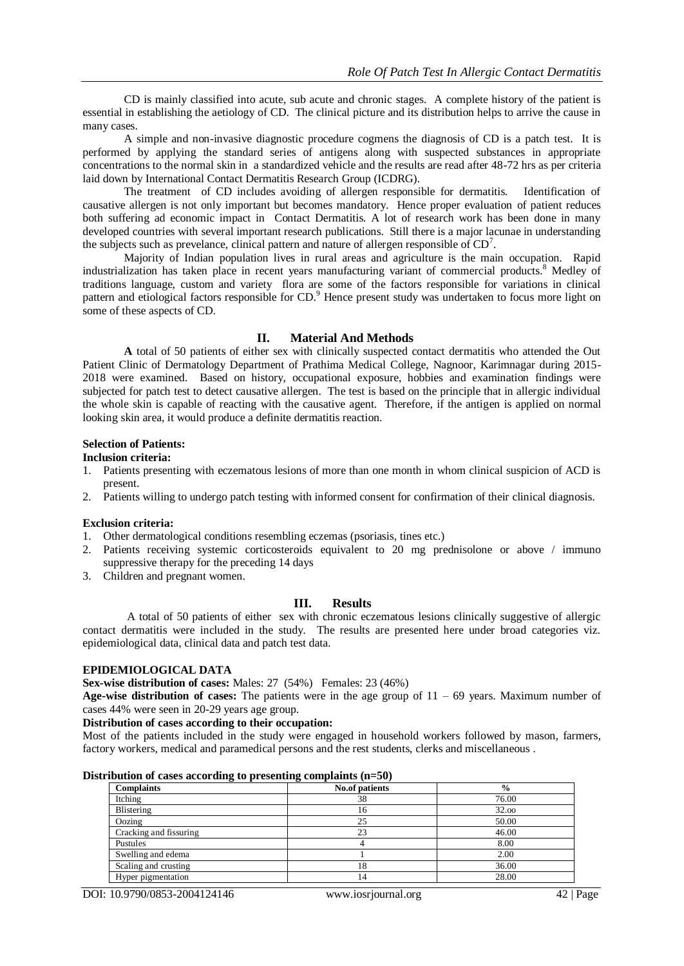CD is mainly classified into acute, sub acute and chronic stages. A complete history of the patient is essential in establishing the aetiology of CD. The clinical picture and its distribution helps to arrive the cause in many cases.

A simple and non-invasive diagnostic procedure cogmens the diagnosis of CD is a patch test. It is performed by applying the standard series of antigens along with suspected substances in appropriate concentrations to the normal skin in a standardized vehicle and the results are read after 48-72 hrs as per criteria laid down by International Contact Dermatitis Research Group (ICDRG).

The treatment of CD includes avoiding of allergen responsible for dermatitis. Identification of causative allergen is not only important but becomes mandatory. Hence proper evaluation of patient reduces both suffering ad economic impact in Contact Dermatitis. A lot of research work has been done in many developed countries with several important research publications. Still there is a major lacunae in understanding the subjects such as prevelance, clinical pattern and nature of allergen responsible of  $CD<sup>7</sup>$ .

Majority of Indian population lives in rural areas and agriculture is the main occupation. Rapid industrialization has taken place in recent years manufacturing variant of commercial products.<sup>8</sup> Medley of traditions language, custom and variety flora are some of the factors responsible for variations in clinical pattern and etiological factors responsible for CD.<sup>9</sup> Hence present study was undertaken to focus more light on some of these aspects of CD.

## **II. Material And Methods**

**A** total of 50 patients of either sex with clinically suspected contact dermatitis who attended the Out Patient Clinic of Dermatology Department of Prathima Medical College, Nagnoor, Karimnagar during 2015- 2018 were examined. Based on history, occupational exposure, hobbies and examination findings were subjected for patch test to detect causative allergen. The test is based on the principle that in allergic individual the whole skin is capable of reacting with the causative agent. Therefore, if the antigen is applied on normal looking skin area, it would produce a definite dermatitis reaction.

## **Selection of Patients:**

**Inclusion criteria:**

- 1. Patients presenting with eczematous lesions of more than one month in whom clinical suspicion of ACD is present.
- 2. Patients willing to undergo patch testing with informed consent for confirmation of their clinical diagnosis.

#### **Exclusion criteria:**

- 1. Other dermatological conditions resembling eczemas (psoriasis, tines etc.)
- 2. Patients receiving systemic corticosteroids equivalent to 20 mg prednisolone or above / immuno suppressive therapy for the preceding 14 days
- 3. Children and pregnant women.

#### **III. Results**

A total of 50 patients of either sex with chronic eczematous lesions clinically suggestive of allergic contact dermatitis were included in the study. The results are presented here under broad categories viz. epidemiological data, clinical data and patch test data.

#### **EPIDEMIOLOGICAL DATA**

**Sex-wise distribution of cases:** Males: 27 (54%) Females: 23 (46%)

**Age-wise distribution of cases:** The patients were in the age group of 11 – 69 years. Maximum number of cases 44% were seen in 20-29 years age group.

#### **Distribution of cases according to their occupation:**

Most of the patients included in the study were engaged in household workers followed by mason, farmers, factory workers, medical and paramedical persons and the rest students, clerks and miscellaneous .

| Distribution of cases according to presenting complaints $(n=50)$ |  |  |  |  |  |
|-------------------------------------------------------------------|--|--|--|--|--|
|-------------------------------------------------------------------|--|--|--|--|--|

| $\tilde{}$<br>- -<br><b>Complaints</b> | $\tilde{}$<br><b>No.of patients</b> | $\frac{6}{9}$ |
|----------------------------------------|-------------------------------------|---------------|
| Itching                                | 38                                  | 76.00         |
| Blistering                             | 16                                  | 32.00         |
| Oozing                                 | 25                                  | 50.00         |
| Cracking and fissuring                 | 23                                  | 46.00         |
| Pustules                               |                                     | 8.00          |
| Swelling and edema                     |                                     | 2.00          |
| Scaling and crusting                   | 18                                  | 36.00         |
| Hyper pigmentation                     | 14                                  | 28.00         |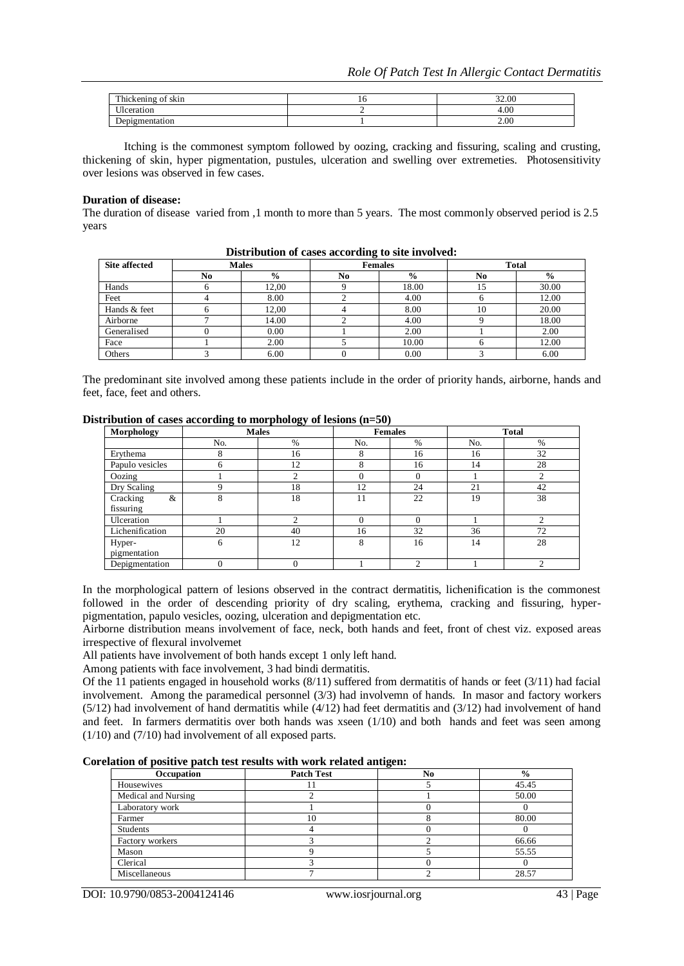| $T = 1$<br>$\sim$<br>$\cdots$<br>hickening.<br>SK111 | - 10 | 32.00  |
|------------------------------------------------------|------|--------|
| $+ + +$<br>0.0000100                                 |      | $+00.$ |
| ugmentation                                          |      | 2.00   |

Itching is the commonest symptom followed by oozing, cracking and fissuring, scaling and crusting, thickening of skin, hyper pigmentation, pustules, ulceration and swelling over extremeties. Photosensitivity over lesions was observed in few cases.

#### **Duration of disease:**

The duration of disease varied from ,1 month to more than 5 years. The most commonly observed period is 2.5 years

| <b>Site affected</b> |    | <b>Males</b>  |    | <b>Females</b> | <b>Total</b> |               |
|----------------------|----|---------------|----|----------------|--------------|---------------|
|                      | No | $\frac{0}{0}$ | No | $\frac{0}{0}$  | $\bf No$     | $\frac{6}{9}$ |
| Hands                |    | 12,00         |    | 18.00          |              | 30.00         |
| Feet                 |    | 8.00          |    | 4.00           |              | 12.00         |
| Hands & feet         | h  | 12.00         |    | 8.00           | 10           | 20.00         |
| Airborne             |    | 14.00         |    | 4.00           |              | 18.00         |
| Generalised          |    | 0.00          |    | 2.00           |              | 2.00          |
| Face                 |    | 2.00          |    | 10.00          |              | 12.00         |
| Others               |    | 6.00          |    | 0.00           |              | 6.00          |

**Distribution of cases according to site involved:**

The predominant site involved among these patients include in the order of priority hands, airborne, hands and feet, face, feet and others.

## **Distribution of cases according to morphology of lesions (n=50)**

| Morphology      | <b>Males</b> |                | <b>Females</b> |      | <b>Total</b> |      |
|-----------------|--------------|----------------|----------------|------|--------------|------|
|                 | No.          | %              | No.            | $\%$ | No.          | $\%$ |
| Erythema        | 8            | 16             | 8              | 16   | 16           | 32   |
| Papulo vesicles | 6            | 12             | 8              | 16   | 14           | 28   |
| Oozing          |              | $\mathcal{L}$  | $\Omega$       |      |              | ◠    |
| Dry Scaling     | 9            | 18             | 12             | 24   | 21           | 42   |
| Cracking<br>&   | 8            | 18             | 11             | 22   | 19           | 38   |
| fissuring       |              |                |                |      |              |      |
| Ulceration      |              | $\mathfrak{D}$ | $\Omega$       |      |              | ◠    |
| Lichenification | 20           | 40             | 16             | 32   | 36           | 72   |
| Hyper-          | 6            | 12             | 8              | 16   | 14           | 28   |
| pigmentation    |              |                |                |      |              |      |
| Depigmentation  | 0            | 0              |                |      |              | ◠    |

In the morphological pattern of lesions observed in the contract dermatitis, lichenification is the commonest followed in the order of descending priority of dry scaling, erythema, cracking and fissuring, hyperpigmentation, papulo vesicles, oozing, ulceration and depigmentation etc.

Airborne distribution means involvement of face, neck, both hands and feet, front of chest viz. exposed areas irrespective of flexural involvemet

All patients have involvement of both hands except 1 only left hand.

Among patients with face involvement, 3 had bindi dermatitis.

Of the 11 patients engaged in household works  $(8/11)$  suffered from dermatitis of hands or feet  $(3/11)$  had facial involvement. Among the paramedical personnel (3/3) had involvemn of hands. In masor and factory workers  $(5/12)$  had involvement of hand dermatitis while  $(4/12)$  had feet dermatitis and  $(3/12)$  had involvement of hand and feet. In farmers dermatitis over both hands was xseen (1/10) and both hands and feet was seen among (1/10) and (7/10) had involvement of all exposed parts.

| Corelation of positive patch test results with work related antigen: |  |  |  |  |  |  |  |  |
|----------------------------------------------------------------------|--|--|--|--|--|--|--|--|
|----------------------------------------------------------------------|--|--|--|--|--|--|--|--|

|                     | -                 |    |               |  |
|---------------------|-------------------|----|---------------|--|
| Occupation          | <b>Patch Test</b> | No | $\frac{0}{0}$ |  |
| Housewives          |                   |    | 45.45         |  |
| Medical and Nursing |                   |    | 50.00         |  |
| Laboratory work     |                   |    |               |  |
| Farmer              | 10                |    | 80.00         |  |
| <b>Students</b>     |                   |    |               |  |
| Factory workers     |                   |    | 66.66         |  |
| Mason               |                   |    | 55.55         |  |
| Clerical            |                   |    |               |  |
| Miscellaneous       |                   |    | 28.57         |  |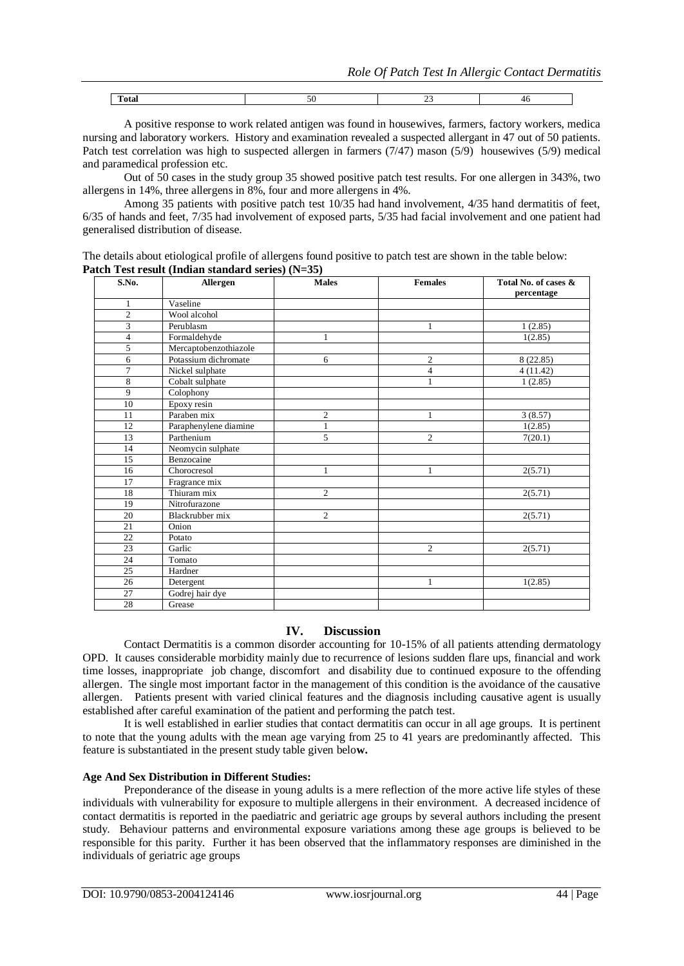| -- |  |  |
|----|--|--|
|    |  |  |

A positive response to work related antigen was found in housewives, farmers, factory workers, medica nursing and laboratory workers. History and examination revealed a suspected allergant in 47 out of 50 patients. Patch test correlation was high to suspected allergen in farmers (7/47) mason (5/9) housewives (5/9) medical and paramedical profession etc.

Out of 50 cases in the study group 35 showed positive patch test results. For one allergen in 343%, two allergens in 14%, three allergens in 8%, four and more allergens in 4%.

Among 35 patients with positive patch test 10/35 had hand involvement, 4/35 hand dermatitis of feet, 6/35 of hands and feet, 7/35 had involvement of exposed parts, 5/35 had facial involvement and one patient had generalised distribution of disease.

The details about etiological profile of allergens found positive to patch test are shown in the table below: **Patch Test result (Indian standard series) (N=35)**

| S.No.          | Allergen              | <b>Males</b>   | <b>Females</b> | Total No. of cases & |
|----------------|-----------------------|----------------|----------------|----------------------|
|                |                       |                |                | percentage           |
| 1              | Vaseline              |                |                |                      |
| $\overline{c}$ | Wool alcohol          |                |                |                      |
| 3              | Perublasm             |                | 1              | 1(2.85)              |
| 4              | Formaldehyde          | 1              |                | 1(2.85)              |
| 5              | Mercaptobenzothiazole |                |                |                      |
| 6              | Potassium dichromate  | 6              | $\overline{c}$ | 8(22.85)             |
| $\overline{7}$ | Nickel sulphate       |                | $\overline{4}$ | 4(11.42)             |
| 8              | Cobalt sulphate       |                | $\mathbf{1}$   | 1(2.85)              |
| 9              | Colophony             |                |                |                      |
| 10             | Epoxy resin           |                |                |                      |
| 11             | Paraben mix           | $\overline{c}$ | $\mathbf{1}$   | 3(8.57)              |
| 12             | Paraphenylene diamine | 1              |                | 1(2.85)              |
| 13             | Parthenium            | 5              | $\overline{c}$ | 7(20.1)              |
| 14             | Neomycin sulphate     |                |                |                      |
| 15             | Benzocaine            |                |                |                      |
| 16             | Chorocresol           | 1              | $\mathbf{1}$   | 2(5.71)              |
| 17             | Fragrance mix         |                |                |                      |
| 18             | Thiuram mix           | $\overline{c}$ |                | 2(5.71)              |
| 19             | Nitrofurazone         |                |                |                      |
| 20             | Blackrubber mix       | $\overline{c}$ |                | 2(5.71)              |
| 21             | Onion                 |                |                |                      |
| 22             | Potato                |                |                |                      |
| 23             | Garlic                |                | $\overline{c}$ | 2(5.71)              |
| 24             | Tomato                |                |                |                      |
| 25             | Hardner               |                |                |                      |
| 26             | Detergent             |                | 1              | 1(2.85)              |
| 27             | Godrej hair dye       |                |                |                      |
| 28             | Grease                |                |                |                      |

# **IV. Discussion**

Contact Dermatitis is a common disorder accounting for 10-15% of all patients attending dermatology OPD. It causes considerable morbidity mainly due to recurrence of lesions sudden flare ups, financial and work time losses, inappropriate job change, discomfort and disability due to continued exposure to the offending allergen. The single most important factor in the management of this condition is the avoidance of the causative allergen. Patients present with varied clinical features and the diagnosis including causative agent is usually established after careful examination of the patient and performing the patch test.

It is well established in earlier studies that contact dermatitis can occur in all age groups. It is pertinent to note that the young adults with the mean age varying from 25 to 41 years are predominantly affected. This feature is substantiated in the present study table given belo**w.**

## **Age And Sex Distribution in Different Studies:**

Preponderance of the disease in young adults is a mere reflection of the more active life styles of these individuals with vulnerability for exposure to multiple allergens in their environment. A decreased incidence of contact dermatitis is reported in the paediatric and geriatric age groups by several authors including the present study. Behaviour patterns and environmental exposure variations among these age groups is believed to be responsible for this parity. Further it has been observed that the inflammatory responses are diminished in the individuals of geriatric age groups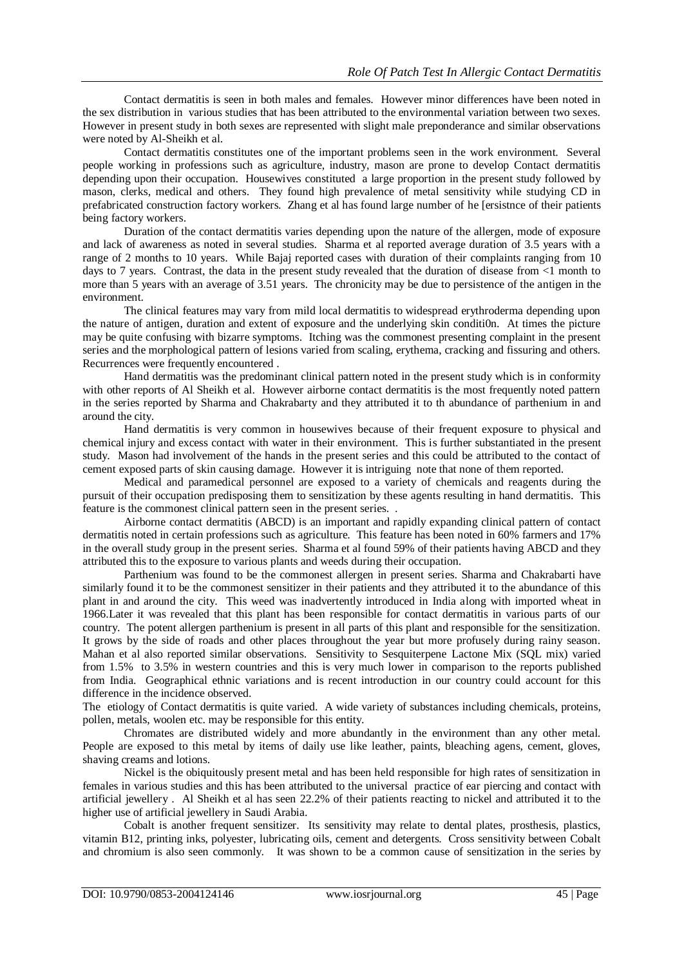Contact dermatitis is seen in both males and females. However minor differences have been noted in the sex distribution in various studies that has been attributed to the environmental variation between two sexes. However in present study in both sexes are represented with slight male preponderance and similar observations were noted by Al-Sheikh et al.

Contact dermatitis constitutes one of the important problems seen in the work environment. Several people working in professions such as agriculture, industry, mason are prone to develop Contact dermatitis depending upon their occupation. Housewives constituted a large proportion in the present study followed by mason, clerks, medical and others. They found high prevalence of metal sensitivity while studying CD in prefabricated construction factory workers. Zhang et al has found large number of he [ersistnce of their patients being factory workers.

Duration of the contact dermatitis varies depending upon the nature of the allergen, mode of exposure and lack of awareness as noted in several studies. Sharma et al reported average duration of 3.5 years with a range of 2 months to 10 years. While Bajaj reported cases with duration of their complaints ranging from 10 days to 7 years. Contrast, the data in the present study revealed that the duration of disease from <1 month to more than 5 years with an average of 3.51 years. The chronicity may be due to persistence of the antigen in the environment.

The clinical features may vary from mild local dermatitis to widespread erythroderma depending upon the nature of antigen, duration and extent of exposure and the underlying skin conditi0n. At times the picture may be quite confusing with bizarre symptoms. Itching was the commonest presenting complaint in the present series and the morphological pattern of lesions varied from scaling, erythema, cracking and fissuring and others. Recurrences were frequently encountered .

Hand dermatitis was the predominant clinical pattern noted in the present study which is in conformity with other reports of Al Sheikh et al. However airborne contact dermatitis is the most frequently noted pattern in the series reported by Sharma and Chakrabarty and they attributed it to th abundance of parthenium in and around the city.

Hand dermatitis is very common in housewives because of their frequent exposure to physical and chemical injury and excess contact with water in their environment. This is further substantiated in the present study. Mason had involvement of the hands in the present series and this could be attributed to the contact of cement exposed parts of skin causing damage. However it is intriguing note that none of them reported.

Medical and paramedical personnel are exposed to a variety of chemicals and reagents during the pursuit of their occupation predisposing them to sensitization by these agents resulting in hand dermatitis. This feature is the commonest clinical pattern seen in the present series. .

Airborne contact dermatitis (ABCD) is an important and rapidly expanding clinical pattern of contact dermatitis noted in certain professions such as agriculture. This feature has been noted in 60% farmers and 17% in the overall study group in the present series. Sharma et al found 59% of their patients having ABCD and they attributed this to the exposure to various plants and weeds during their occupation.

Parthenium was found to be the commonest allergen in present series. Sharma and Chakrabarti have similarly found it to be the commonest sensitizer in their patients and they attributed it to the abundance of this plant in and around the city. This weed was inadvertently introduced in India along with imported wheat in 1966.Later it was revealed that this plant has been responsible for contact dermatitis in various parts of our country. The potent allergen parthenium is present in all parts of this plant and responsible for the sensitization. It grows by the side of roads and other places throughout the year but more profusely during rainy season. Mahan et al also reported similar observations. Sensitivity to Sesquiterpene Lactone Mix (SQL mix) varied from 1.5% to 3.5% in western countries and this is very much lower in comparison to the reports published from India. Geographical ethnic variations and is recent introduction in our country could account for this difference in the incidence observed.

The etiology of Contact dermatitis is quite varied. A wide variety of substances including chemicals, proteins, pollen, metals, woolen etc. may be responsible for this entity.

Chromates are distributed widely and more abundantly in the environment than any other metal. People are exposed to this metal by items of daily use like leather, paints, bleaching agens, cement, gloves, shaving creams and lotions.

Nickel is the obiquitously present metal and has been held responsible for high rates of sensitization in females in various studies and this has been attributed to the universal practice of ear piercing and contact with artificial jewellery . Al Sheikh et al has seen 22.2% of their patients reacting to nickel and attributed it to the higher use of artificial jewellery in Saudi Arabia.

Cobalt is another frequent sensitizer. Its sensitivity may relate to dental plates, prosthesis, plastics, vitamin B12, printing inks, polyester, lubricating oils, cement and detergents. Cross sensitivity between Cobalt and chromium is also seen commonly. It was shown to be a common cause of sensitization in the series by